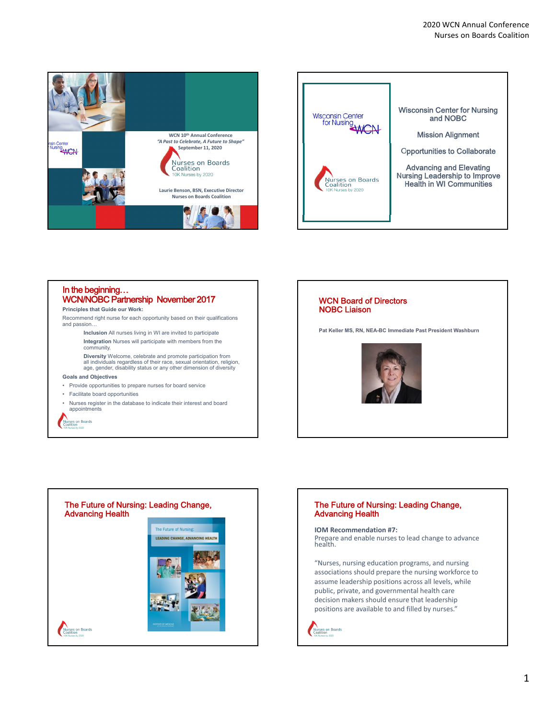



# In the beginning… WCN/NOBC Partnership November 2017

## **Principles that Guide our Work:**

Recommend right nurse for each opportunity based on their qualifications and passion…

- **Inclusion** All nurses living in WI are invited to participate **Integration** Nurses will participate with members from the community.
- **Diversity** Welcome, celebrate and promote participation from all individuals regardless of their race, sexual orientation, religion, age, gender, disability status or any other dimension of diversity

#### **Goals and Objectives**

- Provide opportunities to prepare nurses for board service
- Facilitate board opportunities
- Nurses register in the database to indicate their interest and board appointments



## WCN Board of Directors NOBC Liaison

**Pat Keller MS, RN, NEA-BC Immediate Past President Washburn**





## The Future of Nursing: Leading Change, Advancing Health

**IOM Recommendation #7:** Prepare and enable nurses to lead change to advance health.

"Nurses, nursing education programs, and nursing associations should prepare the nursing workforce to assume leadership positions across all levels, while public, private, and governmental health care decision makers should ensure that leadership positions are available to and filled by nurses."

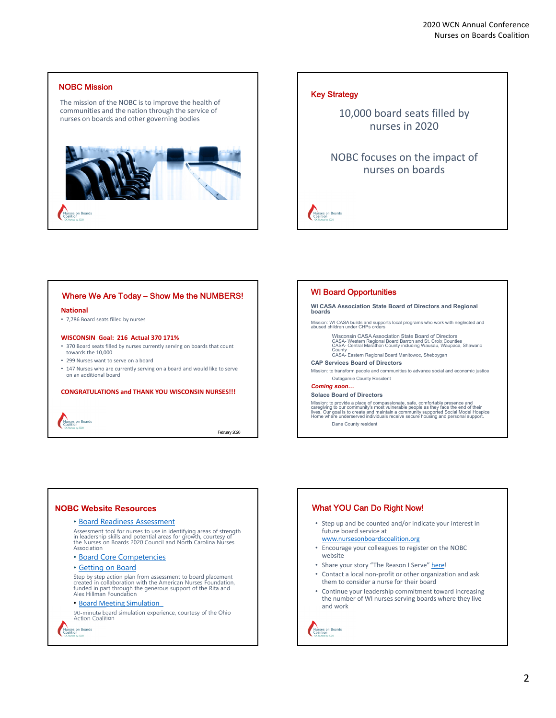

# Key Strategy

Nurses on Boards

10,000 board seats filled by nurses in 2020

NOBC focuses on the impact of nurses on boards

Where We Are Today – Show Me the NUMBERS!

#### **National**

• 7,786 Board seats filled by nurses

### **WISCONSIN Goal: 216 Actual 370 171%**

- 370 Board seats filled by nurses currently serving on boards that count towards the 10,000
- 299 Nurses want to serve on a board
- 147 Nurses who are currently serving on a board and would like to serve on an additional board

### **CONGRATULATIONS and THANK YOU WISCONSIN NURSES!!!**

Nurses on Boards

February 2020

#### WI Board Opportunities

#### **WI CASA Association State Board of Directors and Regional boards**

Mission: WI CASA builds and supports local programs who work with neglected and abused children under CHPs orders

Wisconsin CASA Association State Board of Directors CASA- Western Regional Board Barron and St. Croix Counties CASA- Central Marathon County including Wausau, Waupaca, Shawano County

CASA- Eastern Regional Board Manitowoc, Sheboygan

## **CAP Services Board of Directors**

Mission: to transform people and communities to advance social and economic justice Outagamie County Resident

#### *Coming soon***…**

#### **Solace Board of Directors**

Mission: to provide a place of compassionate, safe, comfortable presence and caregiving to our community's most vulnerable people as they face the end of their<br>lives. Our goal is to create and maintain a community supported Social Model Hospice<br>Home where underserved individuals receive secure hous Dane County resident

**NOBC Website Resources**

### • Board Readiness Assessment

Assessment tool for nurses to use in identifying areas of strength in leadership skills and potential areas for growth, courtesy of "<br>the Nurses on Boards 2020 Council and North Carolina Nurses<br>Association

• Board Core Competencies

#### • Getting on Board

Step by step action plan from assessment to board placement created in collaboration with the American Nurses Foundation, funded in part through the generous support of the Rita and Alex Hillman Foundation

## • Board Meeting Simulation\_

90-minute board simulation experience, courtesy of the Ohio Action Coalition

Nurses on Boards<br>Coalition

# What YOU Can Do Right Now!

- Step up and be counted and/or indicate your interest in future board service at
- www.nursesonboardscoalition.org
- Encourage your colleagues to register on the NOBC website
- Share your story "The Reason I Serve" here!
- Contact a local non‐profit or other organization and ask them to consider a nurse for their board
- Continue your leadership commitment toward increasing the number of WI nurses serving boards where they live and work